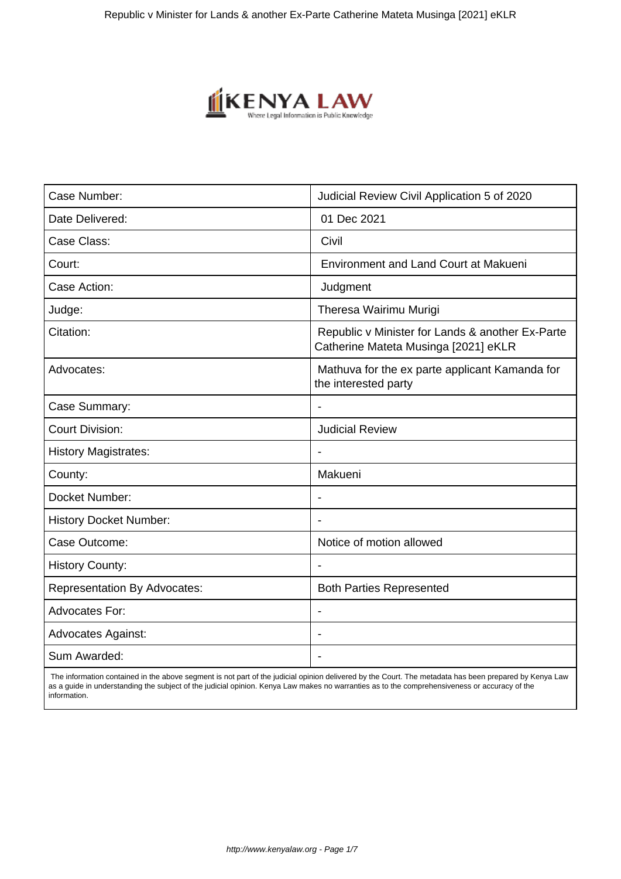

| Judicial Review Civil Application 5 of 2020                                              |
|------------------------------------------------------------------------------------------|
| 01 Dec 2021                                                                              |
| Civil                                                                                    |
| <b>Environment and Land Court at Makueni</b>                                             |
| Judgment                                                                                 |
| Theresa Wairimu Murigi                                                                   |
| Republic v Minister for Lands & another Ex-Parte<br>Catherine Mateta Musinga [2021] eKLR |
| Mathuva for the ex parte applicant Kamanda for<br>the interested party                   |
| $\blacksquare$                                                                           |
| <b>Judicial Review</b>                                                                   |
|                                                                                          |
| Makueni                                                                                  |
| $\overline{\phantom{0}}$                                                                 |
| $\overline{a}$                                                                           |
| Notice of motion allowed                                                                 |
|                                                                                          |
| <b>Both Parties Represented</b>                                                          |
| $\overline{\phantom{a}}$                                                                 |
|                                                                                          |
| $\overline{\phantom{0}}$                                                                 |
|                                                                                          |

 The information contained in the above segment is not part of the judicial opinion delivered by the Court. The metadata has been prepared by Kenya Law as a guide in understanding the subject of the judicial opinion. Kenya Law makes no warranties as to the comprehensiveness or accuracy of the information.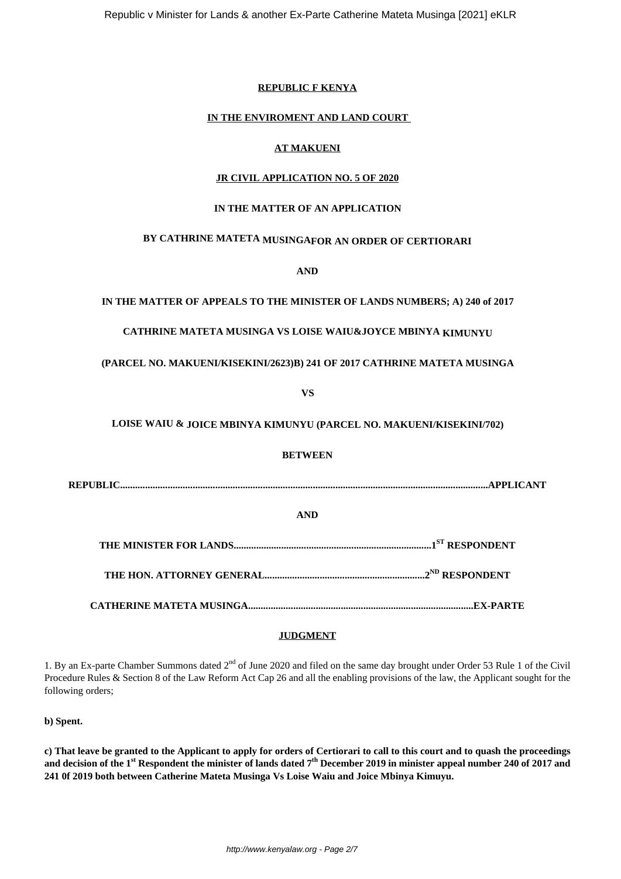#### **REPUBLIC F KENYA**

#### **IN THE ENVIROMENT AND LAND COURT**

### **AT MAKUENI**

# **JR CIVIL APPLICATION NO. 5 OF 2020**

#### **IN THE MATTER OF AN APPLICATION**

# **BY CATHRINE MATETA MUSINGAFOR AN ORDER OF CERTIORARI**

**AND**

#### **IN THE MATTER OF APPEALS TO THE MINISTER OF LANDS NUMBERS; A) 240 of 2017**

# **CATHRINE MATETA MUSINGA VS LOISE WAIU&JOYCE MBINYA KIMUNYU**

#### **(PARCEL NO. MAKUENI/KISEKINI/2623)B) 241 OF 2017 CATHRINE MATETA MUSINGA**

**VS**

# **LOISE WAIU & JOICE MBINYA KIMUNYU (PARCEL NO. MAKUENI/KISEKINI/702)**

#### **BETWEEN**

**REPUBLIC...................................................................................................................................................APPLICANT**

#### **AND**

**THE MINISTER FOR LANDS...............................................................................1ST RESPONDENT**

**THE HON. ATTORNEY GENERAL................................................................2ND RESPONDENT**

**CATHERINE MATETA MUSINGA..........................................................................................EX-PARTE**

#### **JUDGMENT**

1. By an Ex-parte Chamber Summons dated 2<sup>nd</sup> of June 2020 and filed on the same day brought under Order 53 Rule 1 of the Civil Procedure Rules & Section 8 of the Law Reform Act Cap 26 and all the enabling provisions of the law, the Applicant sought for the following orders;

**b) Spent.**

**c) That leave be granted to the Applicant to apply for orders of Certiorari to call to this court and to quash the proceedings and decision of the 1st Respondent the minister of lands dated 7th December 2019 in minister appeal number 240 of 2017 and 241 0f 2019 both between Catherine Mateta Musinga Vs Loise Waiu and Joice Mbinya Kimuyu.**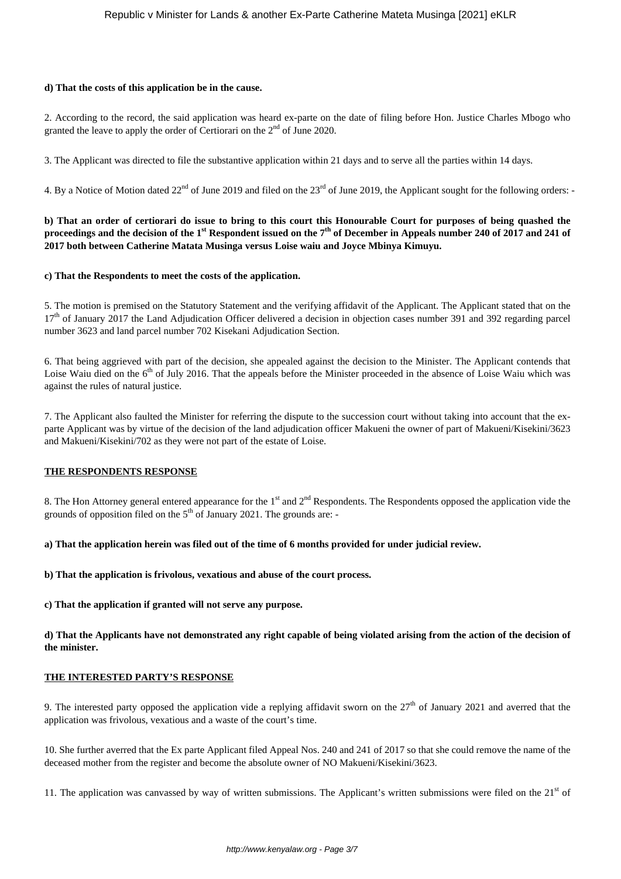#### **d) That the costs of this application be in the cause.**

2. According to the record, the said application was heard ex-parte on the date of filing before Hon. Justice Charles Mbogo who granted the leave to apply the order of Certiorari on the 2<sup>nd</sup> of June 2020.

3. The Applicant was directed to file the substantive application within 21 days and to serve all the parties within 14 days.

4. By a Notice of Motion dated  $22^{nd}$  of June 2019 and filed on the  $23^{rd}$  of June 2019, the Applicant sought for the following orders: -

**b) That an order of certiorari do issue to bring to this court this Honourable Court for purposes of being quashed the proceedings and the decision of the 1st Respondent issued on the 7th of December in Appeals number 240 of 2017 and 241 of 2017 both between Catherine Matata Musinga versus Loise waiu and Joyce Mbinya Kimuyu.**

#### **c) That the Respondents to meet the costs of the application.**

5. The motion is premised on the Statutory Statement and the verifying affidavit of the Applicant. The Applicant stated that on the 17<sup>th</sup> of January 2017 the Land Adjudication Officer delivered a decision in objection cases number 391 and 392 regarding parcel number 3623 and land parcel number 702 Kisekani Adjudication Section.

6. That being aggrieved with part of the decision, she appealed against the decision to the Minister. The Applicant contends that Loise Waiu died on the 6<sup>th</sup> of July 2016. That the appeals before the Minister proceeded in the absence of Loise Waiu which was against the rules of natural justice.

7. The Applicant also faulted the Minister for referring the dispute to the succession court without taking into account that the exparte Applicant was by virtue of the decision of the land adjudication officer Makueni the owner of part of Makueni/Kisekini/3623 and Makueni/Kisekini/702 as they were not part of the estate of Loise.

#### **THE RESPONDENTS RESPONSE**

8. The Hon Attorney general entered appearance for the  $1<sup>st</sup>$  and  $2<sup>nd</sup>$  Respondents. The Respondents opposed the application vide the grounds of opposition filed on the  $5<sup>th</sup>$  of January 2021. The grounds are:

**a) That the application herein was filed out of the time of 6 months provided for under judicial review.**

**b) That the application is frivolous, vexatious and abuse of the court process.**

**c) That the application if granted will not serve any purpose.**

**d) That the Applicants have not demonstrated any right capable of being violated arising from the action of the decision of the minister.**

#### **THE INTERESTED PARTY'S RESPONSE**

9. The interested party opposed the application vide a replying affidavit sworn on the  $27<sup>th</sup>$  of January 2021 and averred that the application was frivolous, vexatious and a waste of the court's time.

10. She further averred that the Ex parte Applicant filed Appeal Nos. 240 and 241 of 2017 so that she could remove the name of the deceased mother from the register and become the absolute owner of NO Makueni/Kisekini/3623.

11. The application was canvassed by way of written submissions. The Applicant's written submissions were filed on the  $21<sup>st</sup>$  of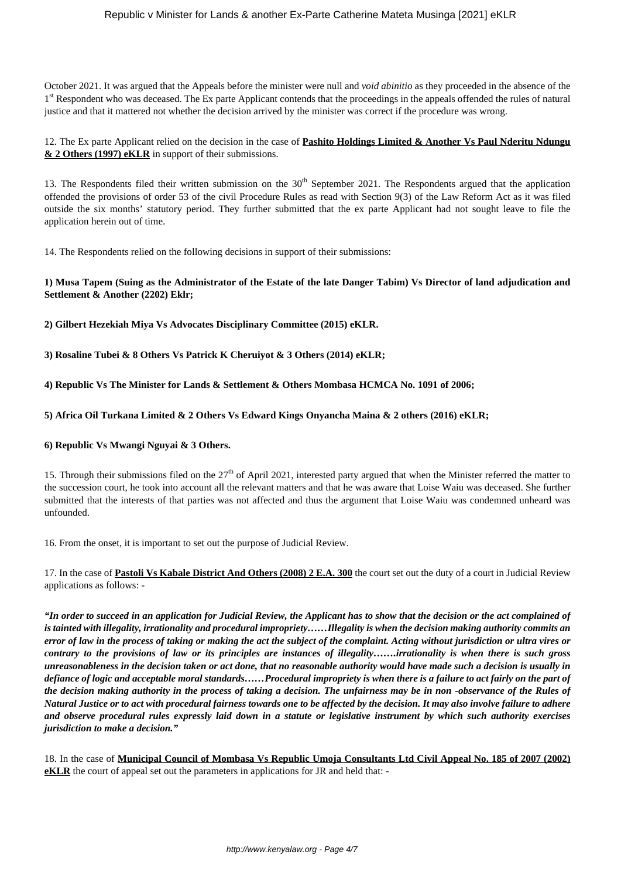October 2021. It was argued that the Appeals before the minister were null and *void abinitio* as they proceeded in the absence of the 1<sup>st</sup> Respondent who was deceased. The Ex parte Applicant contends that the proceedings in the appeals offended the rules of natural justice and that it mattered not whether the decision arrived by the minister was correct if the procedure was wrong.

12. The Ex parte Applicant relied on the decision in the case of **Pashito Holdings Limited & Another Vs Paul Nderitu Ndungu & 2 Others (1997) eKLR** in support of their submissions.

13. The Respondents filed their written submission on the  $30<sup>th</sup>$  September 2021. The Respondents argued that the application offended the provisions of order 53 of the civil Procedure Rules as read with Section 9(3) of the Law Reform Act as it was filed outside the six months' statutory period. They further submitted that the ex parte Applicant had not sought leave to file the application herein out of time.

14. The Respondents relied on the following decisions in support of their submissions:

# **1) Musa Tapem (Suing as the Administrator of the Estate of the late Danger Tabim) Vs Director of land adjudication and Settlement & Another (2202) Eklr;**

**2) Gilbert Hezekiah Miya Vs Advocates Disciplinary Committee (2015) eKLR.**

**3) Rosaline Tubei & 8 Others Vs Patrick K Cheruiyot & 3 Others (2014) eKLR;**

**4) Republic Vs The Minister for Lands & Settlement & Others Mombasa HCMCA No. 1091 of 2006;**

**5) Africa Oil Turkana Limited & 2 Others Vs Edward Kings Onyancha Maina & 2 others (2016) eKLR;**

### **6) Republic Vs Mwangi Nguyai & 3 Others.**

15. Through their submissions filed on the  $27<sup>th</sup>$  of April 2021, interested party argued that when the Minister referred the matter to the succession court, he took into account all the relevant matters and that he was aware that Loise Waiu was deceased. She further submitted that the interests of that parties was not affected and thus the argument that Loise Waiu was condemned unheard was unfounded.

16. From the onset, it is important to set out the purpose of Judicial Review.

17. In the case of **Pastoli Vs Kabale District And Others (2008) 2 E.A. 300** the court set out the duty of a court in Judicial Review applications as follows: -

*"In order to succeed in an application for Judicial Review, the Applicant has to show that the decision or the act complained of is tainted with illegality, irrationality and procedural impropriety……Illegality is when the decision making authority commits an error of law in the process of taking or making the act the subject of the complaint. Acting without jurisdiction or ultra vires or contrary to the provisions of law or its principles are instances of illegality…….irrationality is when there is such gross unreasonableness in the decision taken or act done, that no reasonable authority would have made such a decision is usually in defiance of logic and acceptable moral standards……Procedural impropriety is when there is a failure to act fairly on the part of the decision making authority in the process of taking a decision. The unfairness may be in non -observance of the Rules of Natural Justice or to act with procedural fairness towards one to be affected by the decision. It may also involve failure to adhere and observe procedural rules expressly laid down in a statute or legislative instrument by which such authority exercises jurisdiction to make a decision."*

18. In the case of **Municipal Council of Mombasa Vs Republic Umoja Consultants Ltd Civil Appeal No. 185 of 2007 (2002) eKLR** the court of appeal set out the parameters in applications for JR and held that: -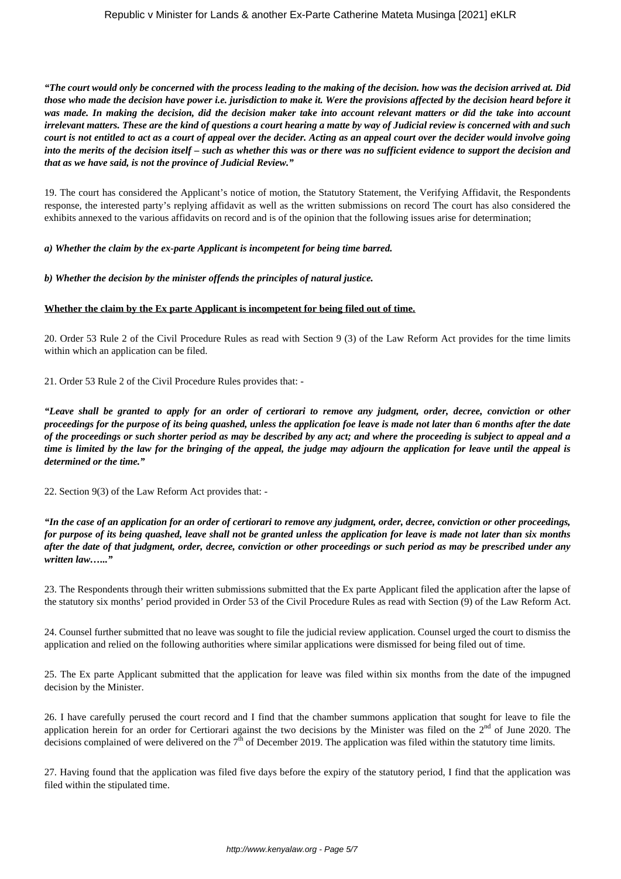*"The court would only be concerned with the process leading to the making of the decision. how was the decision arrived at. Did those who made the decision have power i.e. jurisdiction to make it. Were the provisions affected by the decision heard before it was made. In making the decision, did the decision maker take into account relevant matters or did the take into account irrelevant matters. These are the kind of questions a court hearing a matte by way of Judicial review is concerned with and such court is not entitled to act as a court of appeal over the decider. Acting as an appeal court over the decider would involve going into the merits of the decision itself – such as whether this was or there was no sufficient evidence to support the decision and that as we have said, is not the province of Judicial Review."*

19. The court has considered the Applicant's notice of motion, the Statutory Statement, the Verifying Affidavit, the Respondents response, the interested party's replying affidavit as well as the written submissions on record The court has also considered the exhibits annexed to the various affidavits on record and is of the opinion that the following issues arise for determination;

#### *a) Whether the claim by the ex-parte Applicant is incompetent for being time barred.*

# *b) Whether the decision by the minister offends the principles of natural justice.*

# **Whether the claim by the Ex parte Applicant is incompetent for being filed out of time.**

20. Order 53 Rule 2 of the Civil Procedure Rules as read with Section 9 (3) of the Law Reform Act provides for the time limits within which an application can be filed.

21. Order 53 Rule 2 of the Civil Procedure Rules provides that: -

*"Leave shall be granted to apply for an order of certiorari to remove any judgment, order, decree, conviction or other proceedings for the purpose of its being quashed, unless the application foe leave is made not later than 6 months after the date of the proceedings or such shorter period as may be described by any act; and where the proceeding is subject to appeal and a time is limited by the law for the bringing of the appeal, the judge may adjourn the application for leave until the appeal is determined or the time."*

22. Section 9(3) of the Law Reform Act provides that: -

*"In the case of an application for an order of certiorari to remove any judgment, order, decree, conviction or other proceedings, for purpose of its being quashed, leave shall not be granted unless the application for leave is made not later than six months after the date of that judgment, order, decree, conviction or other proceedings or such period as may be prescribed under any written law…..."*

23. The Respondents through their written submissions submitted that the Ex parte Applicant filed the application after the lapse of the statutory six months' period provided in Order 53 of the Civil Procedure Rules as read with Section (9) of the Law Reform Act.

24. Counsel further submitted that no leave was sought to file the judicial review application. Counsel urged the court to dismiss the application and relied on the following authorities where similar applications were dismissed for being filed out of time.

25. The Ex parte Applicant submitted that the application for leave was filed within six months from the date of the impugned decision by the Minister.

26. I have carefully perused the court record and I find that the chamber summons application that sought for leave to file the application herein for an order for Certiorari against the two decisions by the Minister was filed on the  $2<sup>nd</sup>$  of June 2020. The decisions complained of were delivered on the  $7<sup>th</sup>$  of December 2019. The application was filed within the statutory time limits.

27. Having found that the application was filed five days before the expiry of the statutory period, I find that the application was filed within the stipulated time.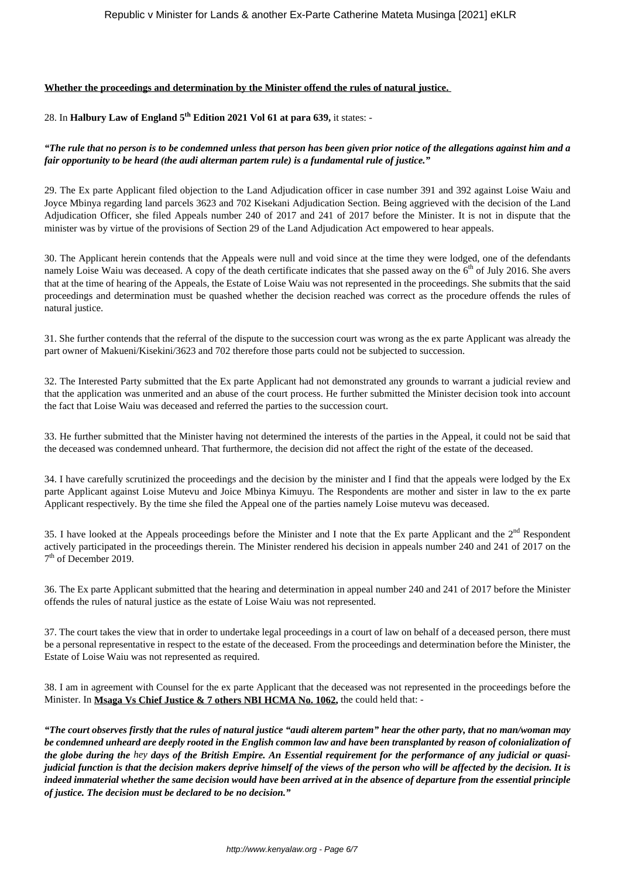### **Whether the proceedings and determination by the Minister offend the rules of natural justice.**

# 28. In **Halbury Law of England 5th Edition 2021 Vol 61 at para 639,** it states: -

# *"The rule that no person is to be condemned unless that person has been given prior notice of the allegations against him and a fair opportunity to be heard (the audi alterman partem rule) is a fundamental rule of justice."*

29. The Ex parte Applicant filed objection to the Land Adjudication officer in case number 391 and 392 against Loise Waiu and Joyce Mbinya regarding land parcels 3623 and 702 Kisekani Adjudication Section. Being aggrieved with the decision of the Land Adjudication Officer, she filed Appeals number 240 of 2017 and 241 of 2017 before the Minister. It is not in dispute that the minister was by virtue of the provisions of Section 29 of the Land Adjudication Act empowered to hear appeals.

30. The Applicant herein contends that the Appeals were null and void since at the time they were lodged, one of the defendants namely Loise Waiu was deceased. A copy of the death certificate indicates that she passed away on the 6<sup>th</sup> of July 2016. She avers that at the time of hearing of the Appeals, the Estate of Loise Waiu was not represented in the proceedings. She submits that the said proceedings and determination must be quashed whether the decision reached was correct as the procedure offends the rules of natural justice.

31. She further contends that the referral of the dispute to the succession court was wrong as the ex parte Applicant was already the part owner of Makueni/Kisekini/3623 and 702 therefore those parts could not be subjected to succession.

32. The Interested Party submitted that the Ex parte Applicant had not demonstrated any grounds to warrant a judicial review and that the application was unmerited and an abuse of the court process. He further submitted the Minister decision took into account the fact that Loise Waiu was deceased and referred the parties to the succession court.

33. He further submitted that the Minister having not determined the interests of the parties in the Appeal, it could not be said that the deceased was condemned unheard. That furthermore, the decision did not affect the right of the estate of the deceased.

34. I have carefully scrutinized the proceedings and the decision by the minister and I find that the appeals were lodged by the Ex parte Applicant against Loise Mutevu and Joice Mbinya Kimuyu. The Respondents are mother and sister in law to the ex parte Applicant respectively. By the time she filed the Appeal one of the parties namely Loise mutevu was deceased.

35. I have looked at the Appeals proceedings before the Minister and I note that the Ex parte Applicant and the  $2<sup>nd</sup>$  Respondent actively participated in the proceedings therein. The Minister rendered his decision in appeals number 240 and 241 of 2017 on the 7<sup>th</sup> of December 2019.

36. The Ex parte Applicant submitted that the hearing and determination in appeal number 240 and 241 of 2017 before the Minister offends the rules of natural justice as the estate of Loise Waiu was not represented.

37. The court takes the view that in order to undertake legal proceedings in a court of law on behalf of a deceased person, there must be a personal representative in respect to the estate of the deceased. From the proceedings and determination before the Minister, the Estate of Loise Waiu was not represented as required.

38. I am in agreement with Counsel for the ex parte Applicant that the deceased was not represented in the proceedings before the Minister. In **Msaga Vs Chief Justice & 7 others NBI HCMA No. 1062,** the could held that: -

*"The court observes firstly that the rules of natural justice "audi alterem partem" hear the other party, that no man/woman may be condemned unheard are deeply rooted in the English common law and have been transplanted by reason of colonialization of the globe during the hey days of the British Empire. An Essential requirement for the performance of any judicial or quasijudicial function is that the decision makers deprive himself of the views of the person who will be affected by the decision. It is indeed immaterial whether the same decision would have been arrived at in the absence of departure from the essential principle of justice. The decision must be declared to be no decision."*